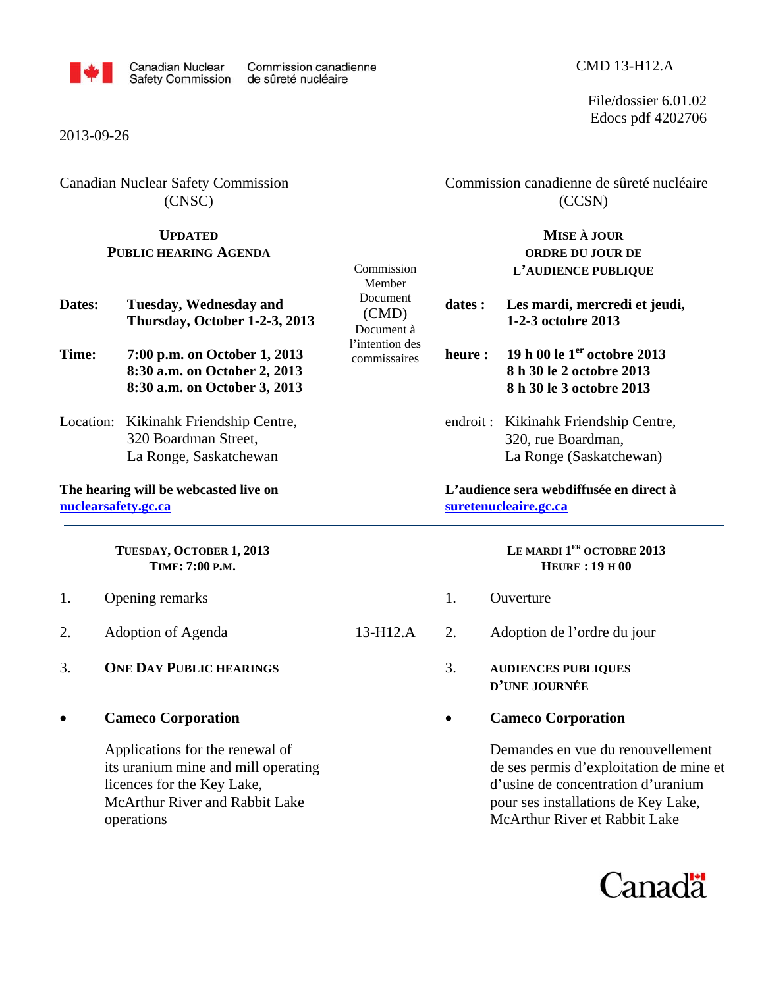

### 2013-09-26

Canadian Nuclear Safety Commission (CNSC)

# **UPDATED**

 Commission canadienne de sûreté nucléaire (CCSN)

### **PUBLIC HEARING AGENDA Dates: Tuesday, Wednesday and Thursday, October 1-2-3, 2013 Time: 7:00 p.m. on October 1, 2013 8:30 a.m. on October 2, 2013 8:30 a.m. on October 3, 2013**  Location: Kikinahk Friendship Centre, 320 Boardman Street, La Ronge, Saskatchewan **The hearing will be webcasted live on nuclearsafety.gc.ca TUESDAY, OCTOBER 1, 2013 TIME: 7:00 P.M.** 1. Opening remarks 2. Adoption of Agenda 3. **ONE DAY PUBLIC HEARINGS** Commission Member Document (CMD) Document à l'intention des commissaires **ORDRE DU JOUR DE L'AUDIENCE PUBLIQUE 1-2-3 octobre 2013 heure : 19 h 00 le 1er octobre 2013 8 h 30 le 2 octobre 2013 8 h 30 le 3 octobre 2013**  endroit :Kikinahk Friendship Centre, 320, rue Boardman, La Ronge (Saskatchewan) **L'audience sera webdiffusée en direct à suretenucleaire.gc.ca LE MARDI 1ER OCTOBRE 2013 HEURE : 19 H 00**  1. Ouverture 13-H12.A 2. Adoption de l'ordre du jour 3. **AUDIENCES PUBLIQUES**

• **Cameco Corporation** 

Applications for the renewal of its uranium mine and mill operating licences for the Key Lake, McArthur River and Rabbit Lake operations

**MISE À JOUR**

# **dates : Les mardi, mercredi et jeudi,**

- **D'UNE JOURNÉE**
- **Cameco Corporation**

 Demandes en vue du renouvellement de ses permis d'exploitation de mine et d'usine de concentration d'uranium pour ses installations de Key Lake, McArthur River et Rabbit Lake



### CMD 13-H12.A

File/dossier 6.01.02 Edocs pdf 4202706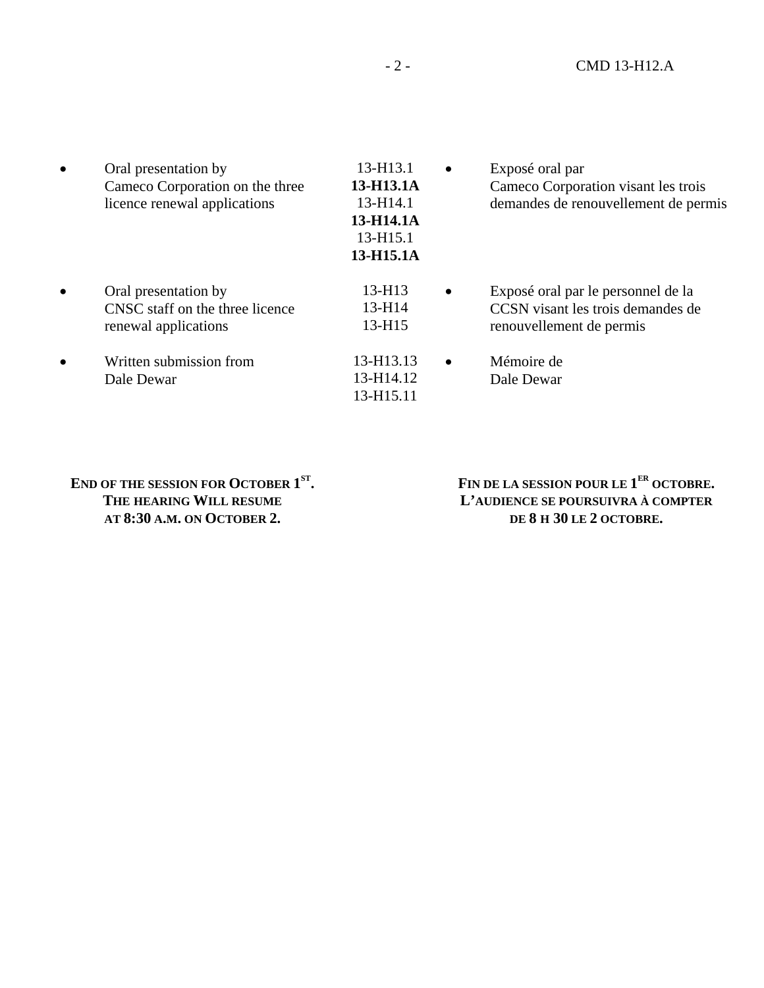| $\bullet$ | Oral presentation by<br>Cameco Corporation on the three<br>licence renewal applications | 13-H13.1<br>13-H13.1A<br>$13 - H14.1$<br>13-H14.1A<br>13-H15.1<br>13-H15.1A | $\bullet$ | Exposé oral par<br>Cameco Corporation visant les trois<br>demandes de renouvellement de permis      |
|-----------|-----------------------------------------------------------------------------------------|-----------------------------------------------------------------------------|-----------|-----------------------------------------------------------------------------------------------------|
| $\bullet$ | Oral presentation by<br>CNSC staff on the three licence<br>renewal applications         | $13 - H13$<br>$13 - H14$<br>$13 - H15$                                      | $\bullet$ | Exposé oral par le personnel de la<br>CCSN visant les trois demandes de<br>renouvellement de permis |
| $\bullet$ | Written submission from<br>Dale Dewar                                                   | 13-H13.13<br>13-H14.12<br>13-H15.11                                         | $\bullet$ | Mémoire de<br>Dale Dewar                                                                            |

END OF THE SESSION FOR OCTOBER 1<sup>ST</sup>. **THE HEARING WILL RESUME AT 8:30 A.M. ON OCTOBER 2.**

FIN DE LA SESSION POUR LE 1<sup>ER</sup> OCTOBRE. **L'AUDIENCE SE POURSUIVRA À COMPTER DE 8 H 30 LE 2 OCTOBRE.**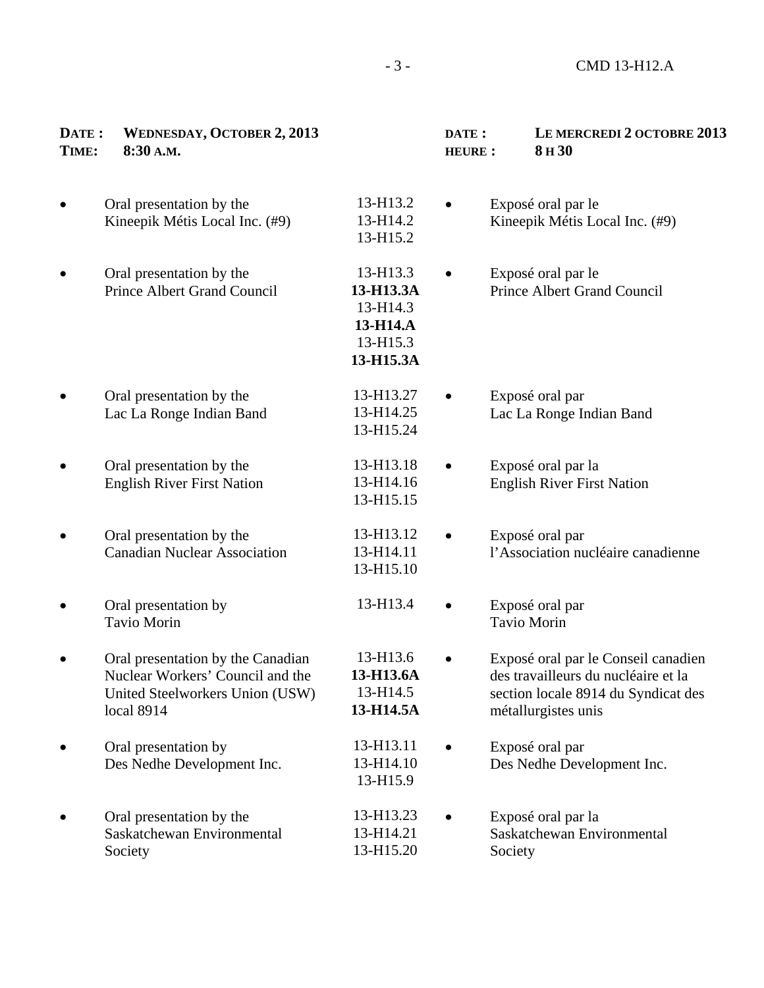| DATE:<br>TIME: | <b>WEDNESDAY, OCTOBER 2, 2013</b><br>8:30 A.M.                                                                         |                                                                        | DATE:<br><b>HEURE:</b> | LE MERCREDI 2 OCTOBRE 2013<br>8H <sub>30</sub>                                                                                           |
|----------------|------------------------------------------------------------------------------------------------------------------------|------------------------------------------------------------------------|------------------------|------------------------------------------------------------------------------------------------------------------------------------------|
|                | Oral presentation by the<br>Kineepik Métis Local Inc. (#9)                                                             | 13-H13.2<br>13-H14.2<br>13-H15.2                                       |                        | Exposé oral par le<br>Kineepik Métis Local Inc. (#9)                                                                                     |
|                | Oral presentation by the<br>Prince Albert Grand Council                                                                | 13-H13.3<br>13-H13.3A<br>13-H14.3<br>13-H14.A<br>13-H15.3<br>13-H15.3A |                        | Exposé oral par le<br><b>Prince Albert Grand Council</b>                                                                                 |
|                | Oral presentation by the<br>Lac La Ronge Indian Band                                                                   | 13-H13.27<br>13-H14.25<br>13-H15.24                                    |                        | Exposé oral par<br>Lac La Ronge Indian Band                                                                                              |
|                | Oral presentation by the<br><b>English River First Nation</b>                                                          | 13-H13.18<br>13-H14.16<br>13-H15.15                                    |                        | Exposé oral par la<br><b>English River First Nation</b>                                                                                  |
|                | Oral presentation by the<br><b>Canadian Nuclear Association</b>                                                        | 13-H13.12<br>13-H14.11<br>13-H15.10                                    | $\bullet$              | Exposé oral par<br>l'Association nucléaire canadienne                                                                                    |
|                | Oral presentation by<br>Tavio Morin                                                                                    | 13-H13.4                                                               |                        | Exposé oral par<br><b>Tavio Morin</b>                                                                                                    |
|                | Oral presentation by the Canadian<br>Nuclear Workers' Council and the<br>United Steelworkers Union (USW)<br>local 8914 | 13-H13.6<br>13-H13.6A<br>13-H14.5<br>13-H14.5A                         |                        | Exposé oral par le Conseil canadien<br>des travailleurs du nucléaire et la<br>section locale 8914 du Syndicat des<br>métallurgistes unis |
|                | Oral presentation by<br>Des Nedhe Development Inc.                                                                     | 13-H13.11<br>13-H14.10<br>13-H15.9                                     |                        | Exposé oral par<br>Des Nedhe Development Inc.                                                                                            |
|                | Oral presentation by the<br>Saskatchewan Environmental<br>Society                                                      | 13-H13.23<br>13-H14.21<br>13-H15.20                                    |                        | Exposé oral par la<br>Saskatchewan Environmental<br>Society                                                                              |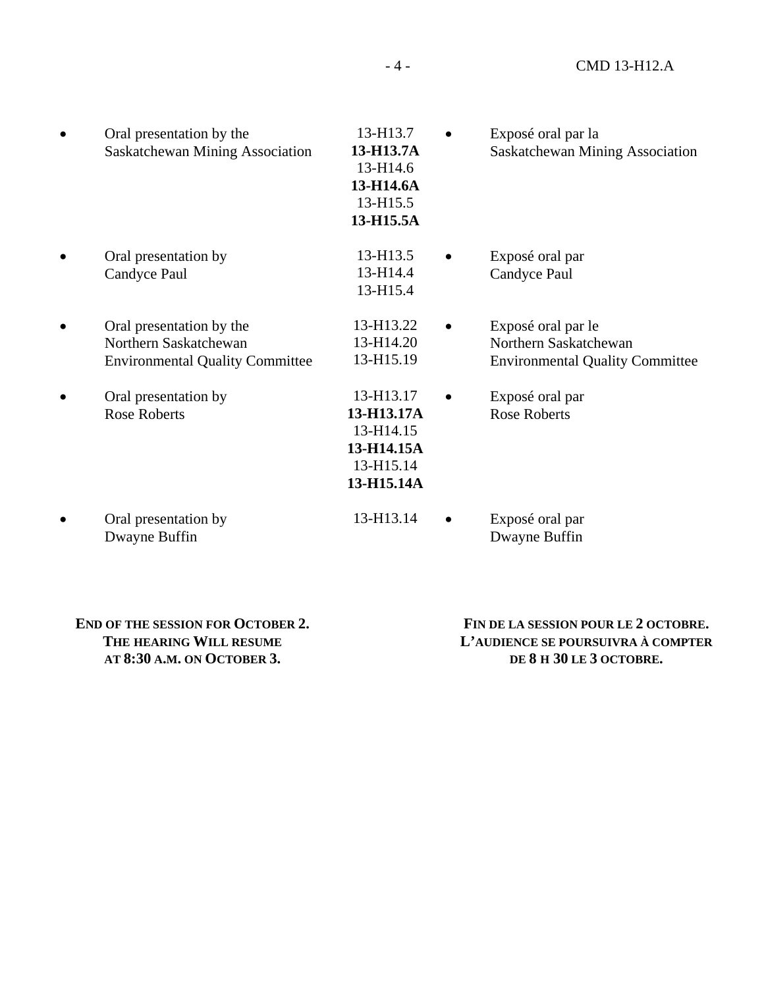| Oral presentation by the<br>Saskatchewan Mining Association                                 | 13-H13.7<br>13-H13.7A<br>13-H14.6<br>13-H14.6A<br>13-H15.5<br>13-H15.5A       | Exposé oral par la<br>Saskatchewan Mining Association                                 |
|---------------------------------------------------------------------------------------------|-------------------------------------------------------------------------------|---------------------------------------------------------------------------------------|
| Oral presentation by<br>Candyce Paul                                                        | 13-H13.5<br>13-H14.4<br>13-H15.4                                              | Exposé oral par<br>Candyce Paul                                                       |
| Oral presentation by the<br>Northern Saskatchewan<br><b>Environmental Quality Committee</b> | 13-H13.22<br>13-H14.20<br>13-H15.19                                           | Exposé oral par le<br>Northern Saskatchewan<br><b>Environmental Quality Committee</b> |
| Oral presentation by<br><b>Rose Roberts</b>                                                 | 13-H13.17<br>13-H13.17A<br>13-H14.15<br>13-H14.15A<br>13-H15.14<br>13-H15.14A | Exposé oral par<br><b>Rose Roberts</b>                                                |
| Oral presentation by<br>Dwayne Buffin                                                       | 13-H13.14                                                                     | Exposé oral par<br>Dwayne Buffin                                                      |

| <b>END OF THE SESSION FOR OCTOBER 2.</b> |
|------------------------------------------|
| THE HEARING WILL RESUME                  |
| AT 8:30 A.M. ON OCTOBER 3.               |

 **FIN DE LA SESSION POUR LE 2 OCTOBRE. L'AUDIENCE SE POURSUIVRA À COMPTER DE 8 H 30 LE 3 OCTOBRE.**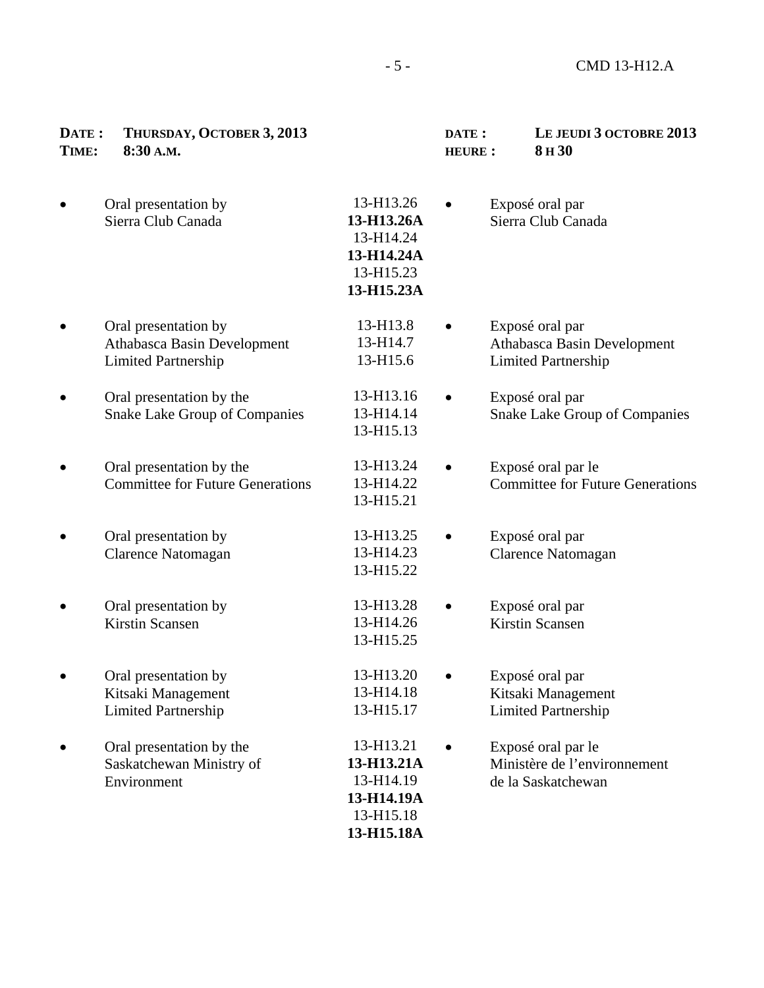| DATE:<br>TIME: | THURSDAY, OCTOBER 3, 2013<br>8:30 A.M.                                            |                                                                               | DATE:<br><b>HEURE:</b> | LE JEUDI 3 OCTOBRE 2013<br>8H <sub>30</sub>                                  |
|----------------|-----------------------------------------------------------------------------------|-------------------------------------------------------------------------------|------------------------|------------------------------------------------------------------------------|
|                | Oral presentation by<br>Sierra Club Canada                                        | 13-H13.26<br>13-H13.26A<br>13-H14.24<br>13-H14.24A<br>13-H15.23<br>13-H15.23A |                        | Exposé oral par<br>Sierra Club Canada                                        |
|                | Oral presentation by<br>Athabasca Basin Development<br><b>Limited Partnership</b> | 13-H13.8<br>13-H14.7<br>13-H15.6                                              |                        | Exposé oral par<br>Athabasca Basin Development<br><b>Limited Partnership</b> |
|                | Oral presentation by the<br><b>Snake Lake Group of Companies</b>                  | 13-H13.16<br>13-H14.14<br>13-H15.13                                           |                        | Exposé oral par<br><b>Snake Lake Group of Companies</b>                      |
|                | Oral presentation by the<br><b>Committee for Future Generations</b>               | 13-H13.24<br>13-H14.22<br>13-H15.21                                           |                        | Exposé oral par le<br><b>Committee for Future Generations</b>                |
|                | Oral presentation by<br><b>Clarence Natomagan</b>                                 | 13-H13.25<br>13-H14.23<br>13-H15.22                                           |                        | Exposé oral par<br>Clarence Natomagan                                        |
|                | Oral presentation by<br><b>Kirstin Scansen</b>                                    | 13-H13.28<br>13-H14.26<br>13-H15.25                                           |                        | Exposé oral par<br>Kirstin Scansen                                           |
|                | Oral presentation by<br>Kitsaki Management<br><b>Limited Partnership</b>          | 13-H13.20<br>13-H14.18<br>13-H15.17                                           |                        | Exposé oral par<br>Kitsaki Management<br><b>Limited Partnership</b>          |
|                | Oral presentation by the<br>Saskatchewan Ministry of<br>Environment               | 13-H13.21<br>13-H13.21A<br>13-H14.19<br>13-H14.19A<br>13-H15.18<br>13-H15.18A |                        | Exposé oral par le<br>Ministère de l'environnement<br>de la Saskatchewan     |